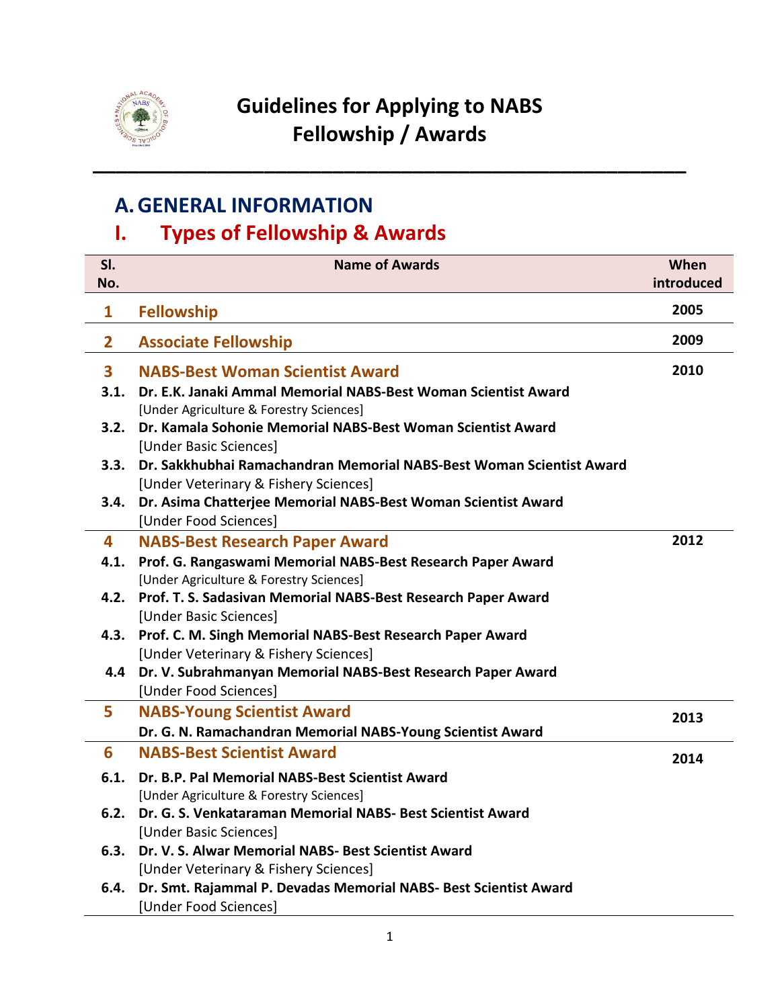

**\_\_\_\_\_\_\_\_\_\_\_\_\_\_\_\_\_\_\_\_\_\_\_\_\_\_\_\_\_\_\_\_\_\_\_\_\_\_\_\_\_\_\_\_\_\_\_\_\_\_\_\_**

# **A.GENERAL INFORMATION**

# **I. Types of Fellowship & Awards**

| SI.                     | <b>Name of Awards</b>                                                                                         | When       |
|-------------------------|---------------------------------------------------------------------------------------------------------------|------------|
| No.                     |                                                                                                               | introduced |
| 1                       | <b>Fellowship</b>                                                                                             | 2005       |
| $\overline{2}$          | <b>Associate Fellowship</b>                                                                                   | 2009       |
| $\overline{\mathbf{3}}$ | <b>NABS-Best Woman Scientist Award</b>                                                                        | 2010       |
| 3.1.                    | Dr. E.K. Janaki Ammal Memorial NABS-Best Woman Scientist Award<br>[Under Agriculture & Forestry Sciences]     |            |
| 3.2.                    | Dr. Kamala Sohonie Memorial NABS-Best Woman Scientist Award<br>[Under Basic Sciences]                         |            |
| 3.3.                    | Dr. Sakkhubhai Ramachandran Memorial NABS-Best Woman Scientist Award<br>[Under Veterinary & Fishery Sciences] |            |
| 3.4.                    | Dr. Asima Chatterjee Memorial NABS-Best Woman Scientist Award<br>[Under Food Sciences]                        |            |
| 4                       | <b>NABS-Best Research Paper Award</b>                                                                         | 2012       |
| 4.1.                    | Prof. G. Rangaswami Memorial NABS-Best Research Paper Award                                                   |            |
|                         | [Under Agriculture & Forestry Sciences]                                                                       |            |
| 4.2.                    | Prof. T. S. Sadasivan Memorial NABS-Best Research Paper Award                                                 |            |
|                         | [Under Basic Sciences]                                                                                        |            |
|                         | 4.3. Prof. C. M. Singh Memorial NABS-Best Research Paper Award                                                |            |
|                         | [Under Veterinary & Fishery Sciences]                                                                         |            |
|                         | Dr. V. Subrahmanyan Memorial NABS-Best Research Paper Award<br>4.4                                            |            |
|                         | [Under Food Sciences]                                                                                         |            |
| 5                       | <b>NABS-Young Scientist Award</b>                                                                             | 2013       |
|                         | Dr. G. N. Ramachandran Memorial NABS-Young Scientist Award                                                    |            |
| 6                       | <b>NABS-Best Scientist Award</b>                                                                              | 2014       |
| 6.1.                    | Dr. B.P. Pal Memorial NABS-Best Scientist Award                                                               |            |
|                         | [Under Agriculture & Forestry Sciences]                                                                       |            |
| 6.2.                    | Dr. G. S. Venkataraman Memorial NABS- Best Scientist Award                                                    |            |
|                         | [Under Basic Sciences]                                                                                        |            |
| 6.3.                    | Dr. V. S. Alwar Memorial NABS- Best Scientist Award                                                           |            |
|                         | [Under Veterinary & Fishery Sciences]                                                                         |            |
| 6.4.                    | Dr. Smt. Rajammal P. Devadas Memorial NABS- Best Scientist Award                                              |            |
|                         | [Under Food Sciences]                                                                                         |            |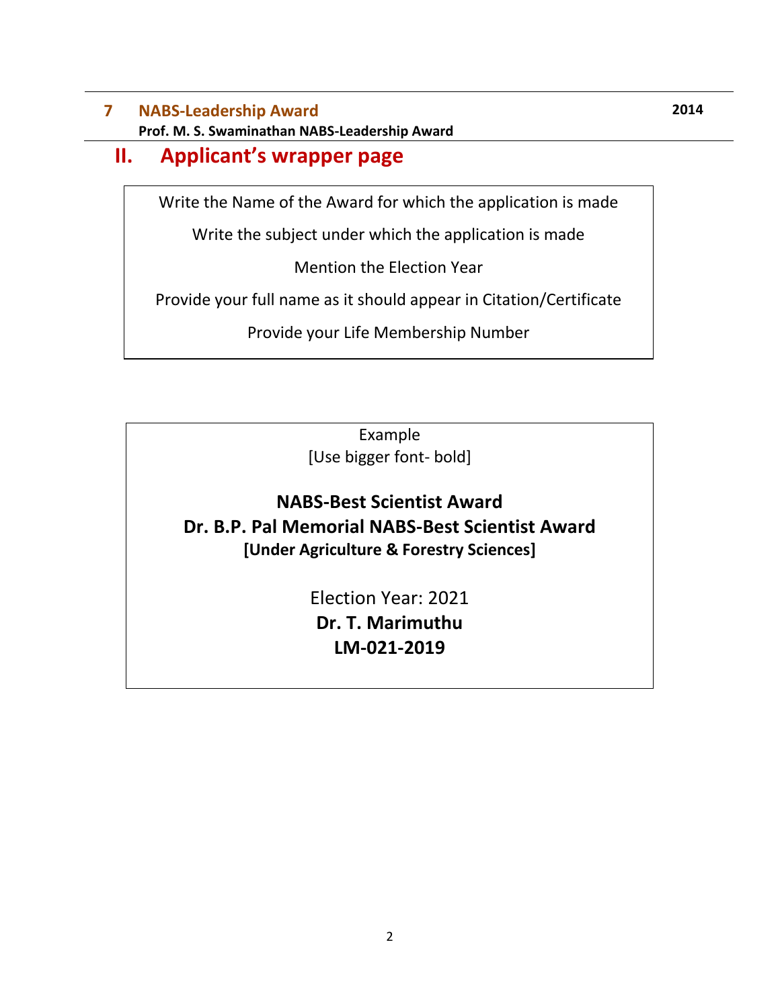## **7 NABS-Leadership Award Prof. M. S. Swaminathan NABS-Leadership Award**

# **II. Applicant's wrapper page**

Write the Name of the Award for which the application is made

Write the subject under which the application is made

Mention the Election Year

Provide your full name as it should appear in Citation/Certificate

Provide your Life Membership Number

Example [Use bigger font- bold]

# **NABS-Best Scientist Award Dr. B.P. Pal Memorial NABS-Best Scientist Award [Under Agriculture & Forestry Sciences]**

Election Year: 2021 **Dr. T. Marimuthu LM-021-2019**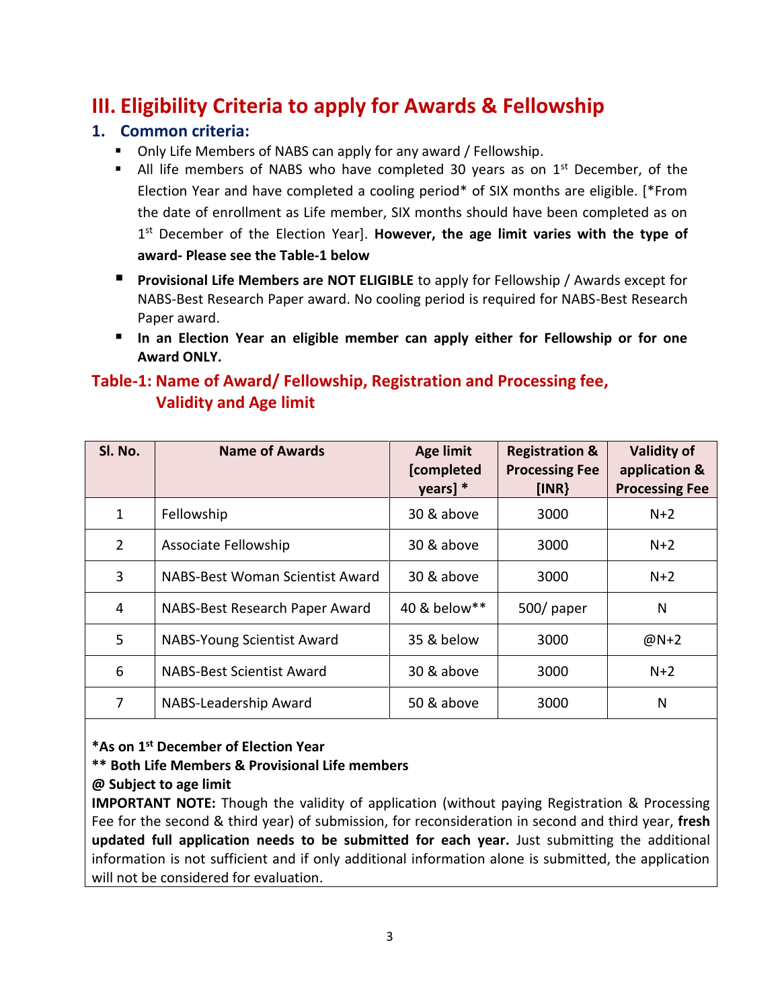# **III. Eligibility Criteria to apply for Awards & Fellowship**

### **1. Common criteria:**

- Only Life Members of NABS can apply for any award / Fellowship.
- If All life members of NABS who have completed 30 years as on  $1<sup>st</sup>$  December, of the Election Year and have completed a cooling period\* of SIX months are eligible. [\*From the date of enrollment as Life member, SIX months should have been completed as on 1 st December of the Election Year]. **However, the age limit varies with the type of award- Please see the Table-1 below**
- **Provisional Life Members are NOT ELIGIBLE** to apply for Fellowship / Awards except for NABS-Best Research Paper award. No cooling period is required for NABS-Best Research Paper award.
- **In an Election Year an eligible member can apply either for Fellowship or for one Award ONLY.**

## **Table-1: Name of Award/ Fellowship, Registration and Processing fee, Validity and Age limit**

| SI. No.        | <b>Name of Awards</b>            | <b>Age limit</b><br>[completed<br>$\gamma$ ears] $*$ | <b>Registration &amp;</b><br><b>Processing Fee</b><br>[INR] | <b>Validity of</b><br>application &<br><b>Processing Fee</b> |
|----------------|----------------------------------|------------------------------------------------------|-------------------------------------------------------------|--------------------------------------------------------------|
| 1              | Fellowship                       | 30 & above                                           | 3000                                                        | $N+2$                                                        |
| $\overline{2}$ | Associate Fellowship             | 30 & above                                           | 3000                                                        | $N+2$                                                        |
| 3              | NABS-Best Woman Scientist Award  | 30 & above                                           | 3000                                                        | $N+2$                                                        |
| 4              | NABS-Best Research Paper Award   | 40 & below**                                         | 500/paper                                                   | N                                                            |
| 5              | NABS-Young Scientist Award       | 35 & below                                           | 3000                                                        | $@N+2$                                                       |
| 6              | <b>NABS-Best Scientist Award</b> | 30 & above                                           | 3000                                                        | $N+2$                                                        |
| 7              | NABS-Leadership Award            | 50 & above                                           | 3000                                                        | N                                                            |

**\*As on 1st December of Election Year**

### **\*\* Both Life Members & Provisional Life members**

#### **@ Subject to age limit**

**IMPORTANT NOTE:** Though the validity of application (without paying Registration & Processing Fee for the second & third year) of submission, for reconsideration in second and third year, **fresh updated full application needs to be submitted for each year.** Just submitting the additional information is not sufficient and if only additional information alone is submitted, the application will not be considered for evaluation.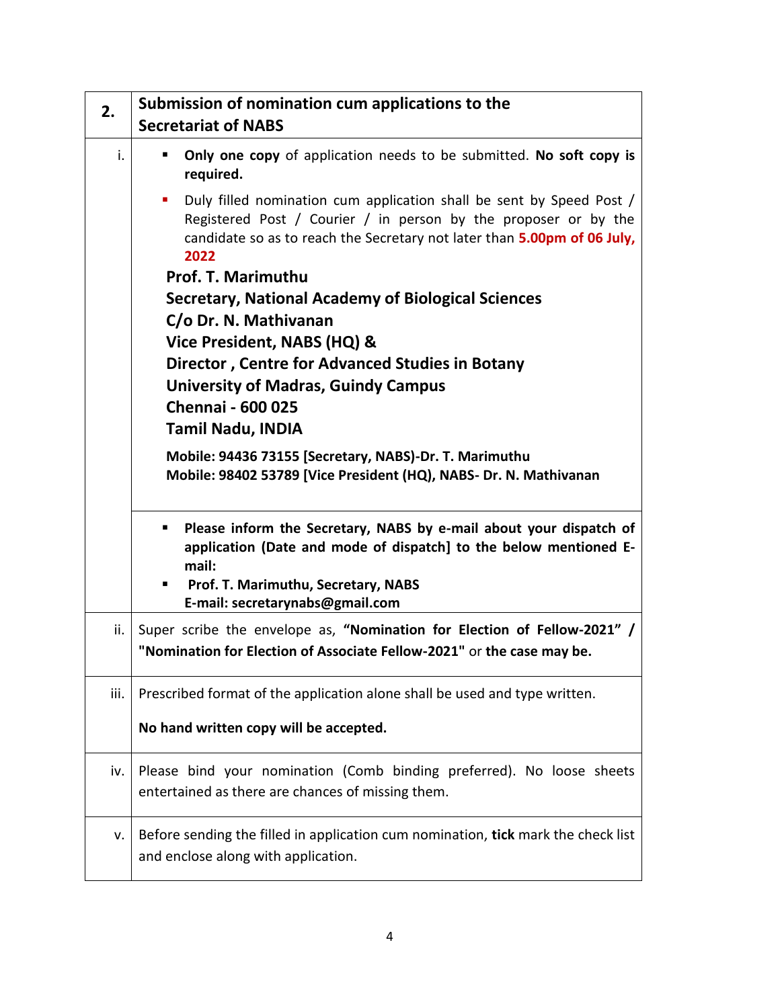| 2.   | Submission of nomination cum applications to the<br><b>Secretariat of NABS</b>                                                                                                                                                   |  |  |  |
|------|----------------------------------------------------------------------------------------------------------------------------------------------------------------------------------------------------------------------------------|--|--|--|
| i.   | Only one copy of application needs to be submitted. No soft copy is                                                                                                                                                              |  |  |  |
|      | required.                                                                                                                                                                                                                        |  |  |  |
|      | Duly filled nomination cum application shall be sent by Speed Post /<br>ш<br>Registered Post / Courier / in person by the proposer or by the<br>candidate so as to reach the Secretary not later than 5.00pm of 06 July,<br>2022 |  |  |  |
|      | Prof. T. Marimuthu                                                                                                                                                                                                               |  |  |  |
|      | Secretary, National Academy of Biological Sciences                                                                                                                                                                               |  |  |  |
|      | C/o Dr. N. Mathivanan                                                                                                                                                                                                            |  |  |  |
|      | Vice President, NABS (HQ) &                                                                                                                                                                                                      |  |  |  |
|      | <b>Director, Centre for Advanced Studies in Botany</b>                                                                                                                                                                           |  |  |  |
|      | <b>University of Madras, Guindy Campus</b>                                                                                                                                                                                       |  |  |  |
|      | <b>Chennai - 600 025</b>                                                                                                                                                                                                         |  |  |  |
|      | <b>Tamil Nadu, INDIA</b>                                                                                                                                                                                                         |  |  |  |
|      | Mobile: 94436 73155 [Secretary, NABS)-Dr. T. Marimuthu                                                                                                                                                                           |  |  |  |
|      | Mobile: 98402 53789 [Vice President (HQ), NABS- Dr. N. Mathivanan                                                                                                                                                                |  |  |  |
|      | Please inform the Secretary, NABS by e-mail about your dispatch of<br>ш<br>application (Date and mode of dispatch] to the below mentioned E-<br>mail:                                                                            |  |  |  |
|      | Prof. T. Marimuthu, Secretary, NABS<br>п<br>E-mail: secretarynabs@gmail.com                                                                                                                                                      |  |  |  |
| ii.  | Super scribe the envelope as, "Nomination for Election of Fellow-2021" /<br>"Nomination for Election of Associate Fellow-2021" or the case may be.                                                                               |  |  |  |
| iii. | Prescribed format of the application alone shall be used and type written.                                                                                                                                                       |  |  |  |
|      | No hand written copy will be accepted.                                                                                                                                                                                           |  |  |  |
| iv.  | Please bind your nomination (Comb binding preferred). No loose sheets<br>entertained as there are chances of missing them.                                                                                                       |  |  |  |
| ۷.   | Before sending the filled in application cum nomination, tick mark the check list<br>and enclose along with application.                                                                                                         |  |  |  |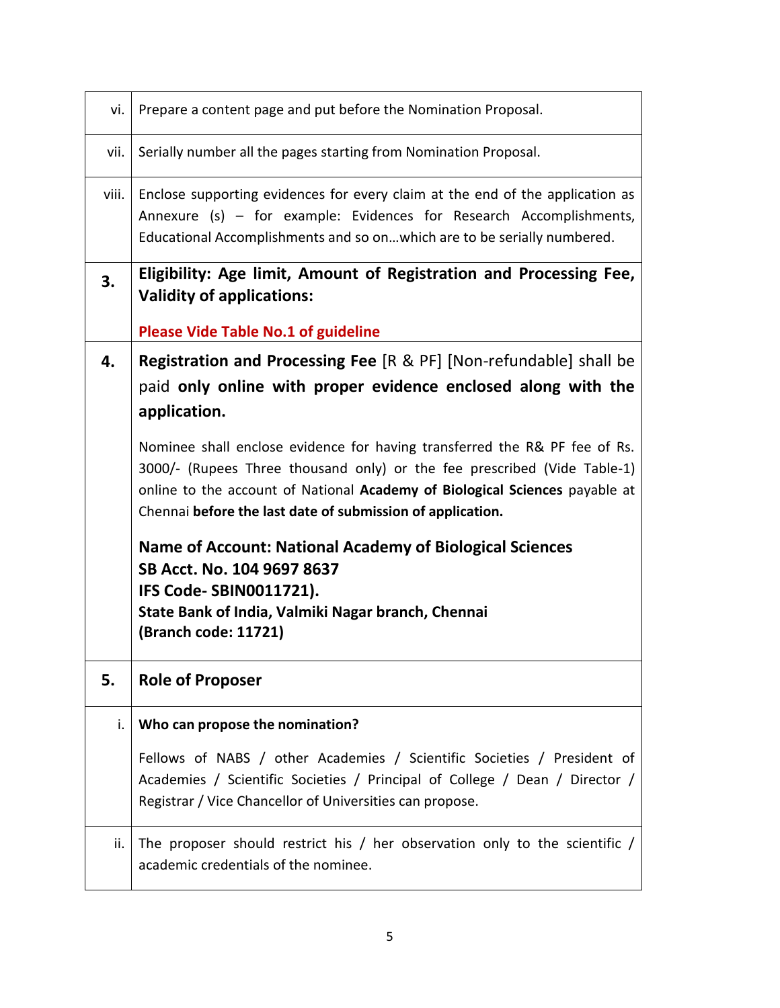| vi.   | Prepare a content page and put before the Nomination Proposal.                                                                                                                                                                                                                                                                                                                                                                                                                                                                                                                                                                                                                    |
|-------|-----------------------------------------------------------------------------------------------------------------------------------------------------------------------------------------------------------------------------------------------------------------------------------------------------------------------------------------------------------------------------------------------------------------------------------------------------------------------------------------------------------------------------------------------------------------------------------------------------------------------------------------------------------------------------------|
| vii.  | Serially number all the pages starting from Nomination Proposal.                                                                                                                                                                                                                                                                                                                                                                                                                                                                                                                                                                                                                  |
| viii. | Enclose supporting evidences for every claim at the end of the application as<br>Annexure (s) - for example: Evidences for Research Accomplishments,<br>Educational Accomplishments and so on which are to be serially numbered.                                                                                                                                                                                                                                                                                                                                                                                                                                                  |
| 3.    | Eligibility: Age limit, Amount of Registration and Processing Fee,<br><b>Validity of applications:</b><br><b>Please Vide Table No.1 of guideline</b>                                                                                                                                                                                                                                                                                                                                                                                                                                                                                                                              |
| 4.    | <b>Registration and Processing Fee</b> [R & PF] [Non-refundable] shall be<br>paid only online with proper evidence enclosed along with the<br>application.<br>Nominee shall enclose evidence for having transferred the R& PF fee of Rs.<br>3000/- (Rupees Three thousand only) or the fee prescribed (Vide Table-1)<br>online to the account of National Academy of Biological Sciences payable at<br>Chennai before the last date of submission of application.<br><b>Name of Account: National Academy of Biological Sciences</b><br>SB Acct. No. 104 9697 8637<br><b>IFS Code-SBIN0011721).</b><br>State Bank of India, Valmiki Nagar branch, Chennai<br>(Branch code: 11721) |
| 5.    | <b>Role of Proposer</b>                                                                                                                                                                                                                                                                                                                                                                                                                                                                                                                                                                                                                                                           |
| i.    | Who can propose the nomination?                                                                                                                                                                                                                                                                                                                                                                                                                                                                                                                                                                                                                                                   |
|       | Fellows of NABS / other Academies / Scientific Societies / President of<br>Academies / Scientific Societies / Principal of College / Dean / Director /<br>Registrar / Vice Chancellor of Universities can propose.                                                                                                                                                                                                                                                                                                                                                                                                                                                                |
| ii.   | The proposer should restrict his / her observation only to the scientific /<br>academic credentials of the nominee.                                                                                                                                                                                                                                                                                                                                                                                                                                                                                                                                                               |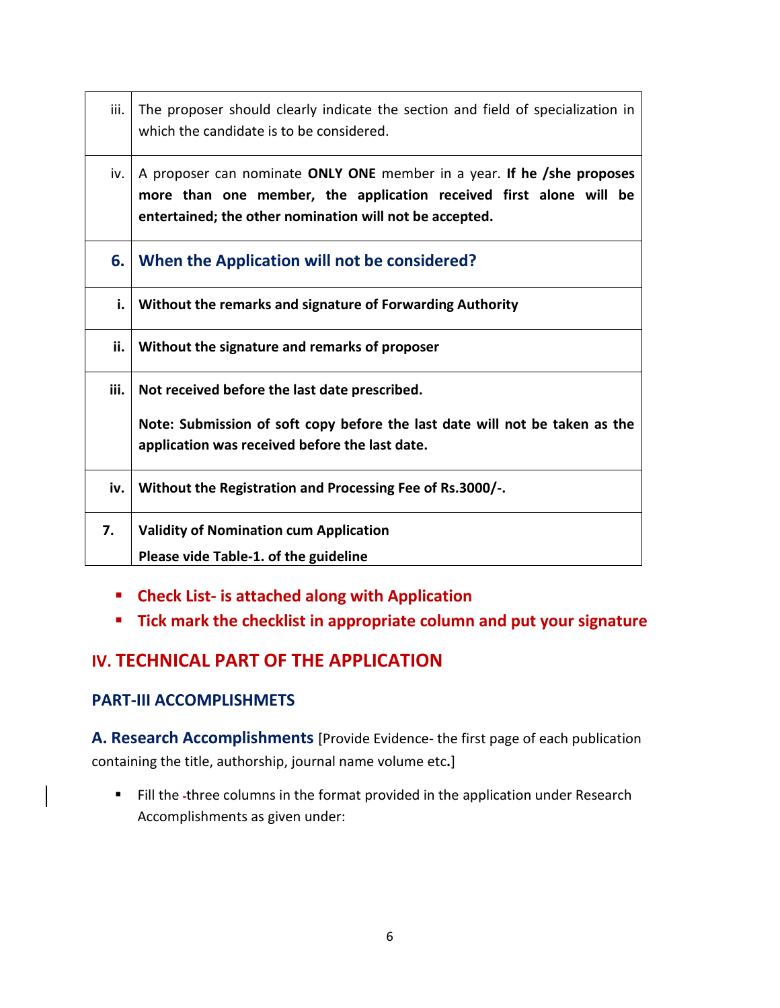| iii. | The proposer should clearly indicate the section and field of specialization in<br>which the candidate is to be considered.                                                                             |
|------|---------------------------------------------------------------------------------------------------------------------------------------------------------------------------------------------------------|
| iv.  | A proposer can nominate ONLY ONE member in a year. If he /she proposes<br>more than one member, the application received first alone will be<br>entertained; the other nomination will not be accepted. |
| 6.   | When the Application will not be considered?                                                                                                                                                            |
| i.   | Without the remarks and signature of Forwarding Authority                                                                                                                                               |
| ii.  | Without the signature and remarks of proposer                                                                                                                                                           |
| iii. | Not received before the last date prescribed.                                                                                                                                                           |
|      | Note: Submission of soft copy before the last date will not be taken as the<br>application was received before the last date.                                                                           |
| iv.  | Without the Registration and Processing Fee of Rs.3000/-.                                                                                                                                               |
| 7.   | <b>Validity of Nomination cum Application</b>                                                                                                                                                           |
|      | Please vide Table-1. of the guideline                                                                                                                                                                   |

- **Check List- is attached along with Application**
- **Tick mark the checklist in appropriate column and put your signature**

## **IV. TECHNICAL PART OF THE APPLICATION**

### **PART-III ACCOMPLISHMETS**

**A. Research Accomplishments** [Provide Evidence- the first page of each publication containing the title, authorship, journal name volume etc**.**]

Fill the -three columns in the format provided in the application under Research Accomplishments as given under: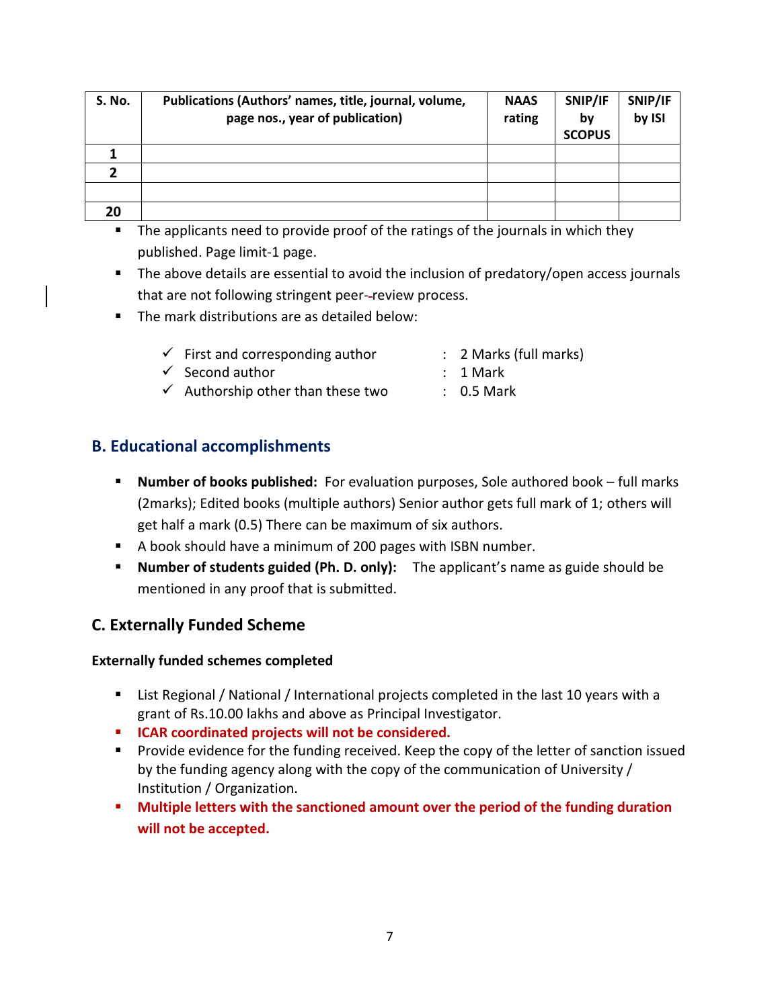| S. No. | Publications (Authors' names, title, journal, volume,<br>page nos., year of publication) | <b>NAAS</b><br>rating | SNIP/IF<br>bv<br><b>SCOPUS</b> | SNIP/IF<br>by ISI |
|--------|------------------------------------------------------------------------------------------|-----------------------|--------------------------------|-------------------|
|        |                                                                                          |                       |                                |                   |
|        |                                                                                          |                       |                                |                   |
|        |                                                                                          |                       |                                |                   |
| 20     |                                                                                          |                       |                                |                   |

- The applicants need to provide proof of the ratings of the journals in which they published. Page limit-1 page.
- The above details are essential to avoid the inclusion of predatory/open access journals that are not following stringent peer--review process.
- The mark distributions are as detailed below:
	- $\checkmark$  First and corresponding author : 2 Marks (full marks)
	- $\checkmark$  Second author  $\checkmark$  1 Mark
- - $\checkmark$  Authorship other than these two : 0.5 Mark

## **B. Educational accomplishments**

- **Number of books published:** For evaluation purposes, Sole authored book full marks (2marks); Edited books (multiple authors) Senior author gets full mark of 1; others will get half a mark (0.5) There can be maximum of six authors.
- A book should have a minimum of 200 pages with ISBN number.
- **Number of students guided (Ph. D. only):** The applicant's name as guide should be mentioned in any proof that is submitted.

## **C. Externally Funded Scheme**

### **Externally funded schemes completed**

- List Regional / National / International projects completed in the last 10 years with a grant of Rs.10.00 lakhs and above as Principal Investigator.
- **ICAR coordinated projects will not be considered.**
- Provide evidence for the funding received. Keep the copy of the letter of sanction issued by the funding agency along with the copy of the communication of University / Institution / Organization**.**
- **Multiple letters with the sanctioned amount over the period of the funding duration will not be accepted.**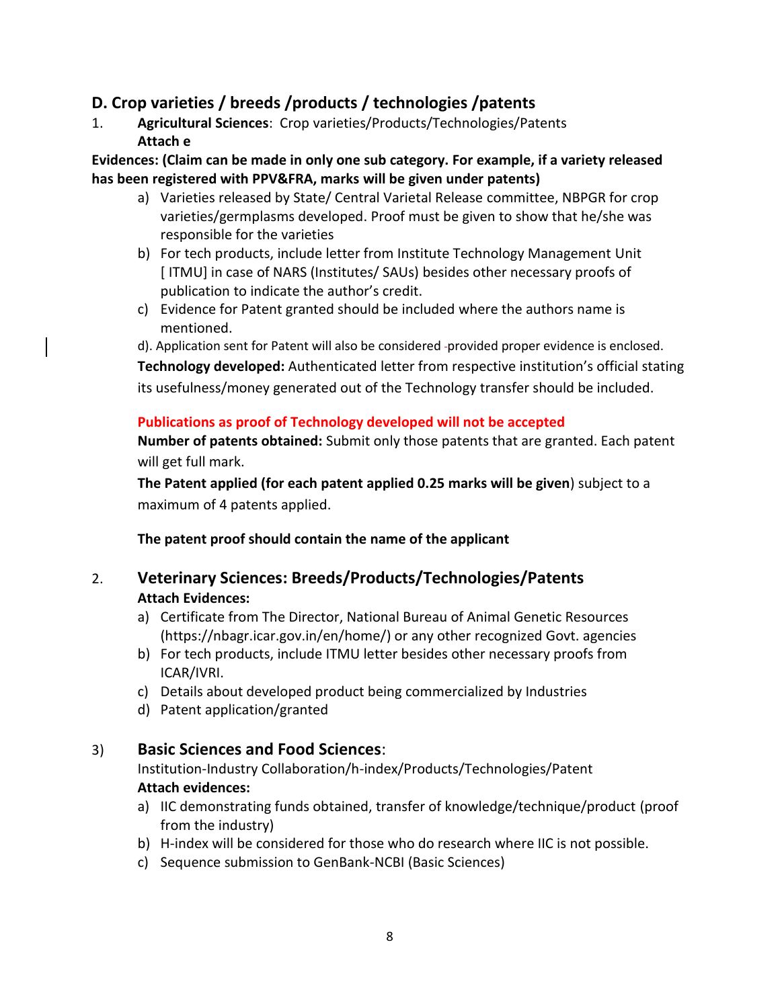## **D. Crop varieties / breeds /products / technologies /patents**

1. **Agricultural Sciences**: Crop varieties/Products/Technologies/Patents **Attach e**

#### **Evidences: (Claim can be made in only one sub category. For example, if a variety released has been registered with PPV&FRA, marks will be given under patents)**

- a) Varieties released by State/ Central Varietal Release committee, NBPGR for crop varieties/germplasms developed. Proof must be given to show that he/she was responsible for the varieties
- b) For tech products, include letter from Institute Technology Management Unit [ ITMU] in case of NARS (Institutes/ SAUs) besides other necessary proofs of publication to indicate the author's credit.
- c) Evidence for Patent granted should be included where the authors name is mentioned.
- d). Application sent for Patent will also be considered -provided proper evidence is enclosed.

**Technology developed:** Authenticated letter from respective institution's official stating its usefulness/money generated out of the Technology transfer should be included.

#### **Publications as proof of Technology developed will not be accepted**

**Number of patents obtained:** Submit only those patents that are granted. Each patent will get full mark.

**The Patent applied (for each patent applied 0.25 marks will be given**) subject to a maximum of 4 patents applied.

**The patent proof should contain the name of the applicant**

### 2. **Veterinary Sciences: Breeds/Products/Technologies/Patents Attach Evidences:**

- a) Certificate from The Director, National Bureau of Animal Genetic Resources [\(https://nbagr.icar.gov.in/en/home/\)](https://nbagr.icar.gov.in/en/home/) or any other recognized Govt. agencies
- b) For tech products, include ITMU letter besides other necessary proofs from ICAR/IVRI.
- c) Details about developed product being commercialized by Industries
- d) Patent application/granted

## 3) **Basic Sciences and Food Sciences**:

Institution-Industry Collaboration/h-index/Products/Technologies/Patent **Attach evidences:**

- a) IIC demonstrating funds obtained, transfer of knowledge/technique/product (proof from the industry)
- b) H-index will be considered for those who do research where IIC is not possible.
- c) Sequence submission to GenBank-NCBI (Basic Sciences)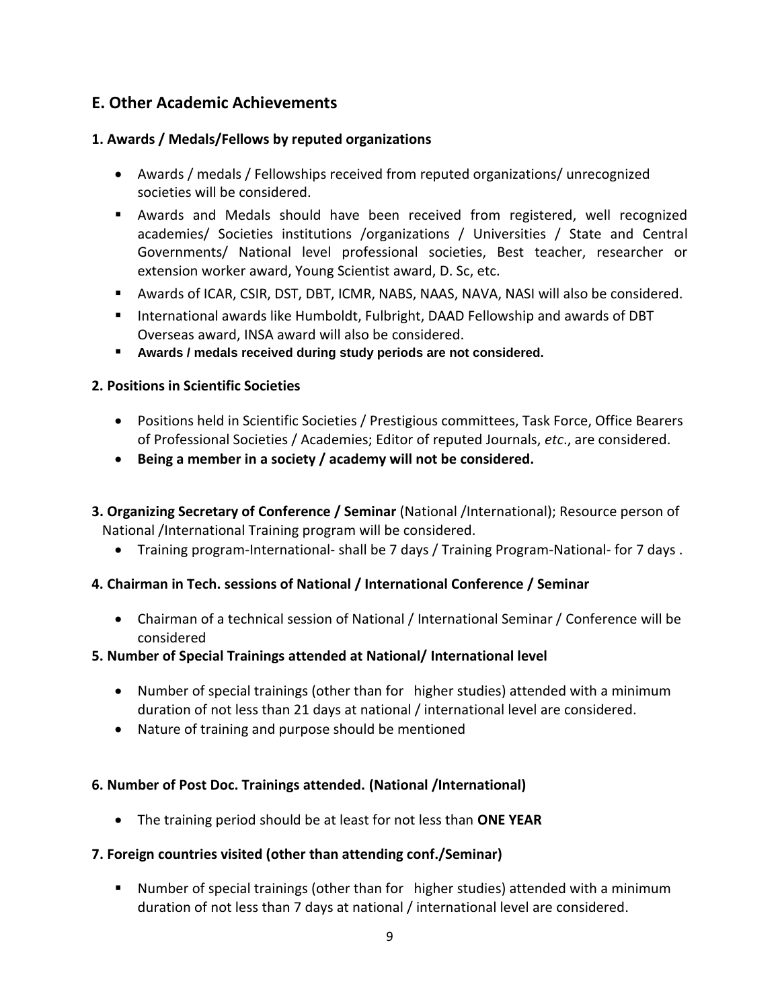## **E. Other Academic Achievements**

#### **1. Awards / Medals/Fellows by reputed organizations**

- Awards / medals / Fellowships received from reputed organizations/ unrecognized societies will be considered.
- Awards and Medals should have been received from registered, well recognized academies/ Societies institutions /organizations / Universities / State and Central Governments/ National level professional societies, Best teacher, researcher or extension worker award, Young Scientist award, D. Sc, etc.
- Awards of ICAR, CSIR, DST, DBT, ICMR, NABS, NAAS, NAVA, NASI will also be considered.
- International awards like Humboldt, Fulbright, DAAD Fellowship and awards of DBT Overseas award, INSA award will also be considered.
- **Awards / medals received during study periods are not considered.**

#### **2. Positions in Scientific Societies**

- Positions held in Scientific Societies / Prestigious committees, Task Force, Office Bearers of Professional Societies / Academies; Editor of reputed Journals, *etc*., are considered.
- **Being a member in a society / academy will not be considered.**
- **3. Organizing Secretary of Conference / Seminar** (National /International); Resource person of National /International Training program will be considered.
	- Training program-International- shall be 7 days / Training Program-National- for 7 days .

### **4. Chairman in Tech. sessions of National / International Conference / Seminar**

 Chairman of a technical session of National / International Seminar / Conference will be considered

#### **5. Number of Special Trainings attended at National/ International level**

- Number of special trainings (other than for higher studies) attended with a minimum duration of not less than 21 days at national / international level are considered.
- Nature of training and purpose should be mentioned

#### **6. Number of Post Doc. Trainings attended. (National /International)**

The training period should be at least for not less than **ONE YEAR**

#### **7. Foreign countries visited (other than attending conf./Seminar)**

 Number of special trainings (other than for higher studies) attended with a minimum duration of not less than 7 days at national / international level are considered.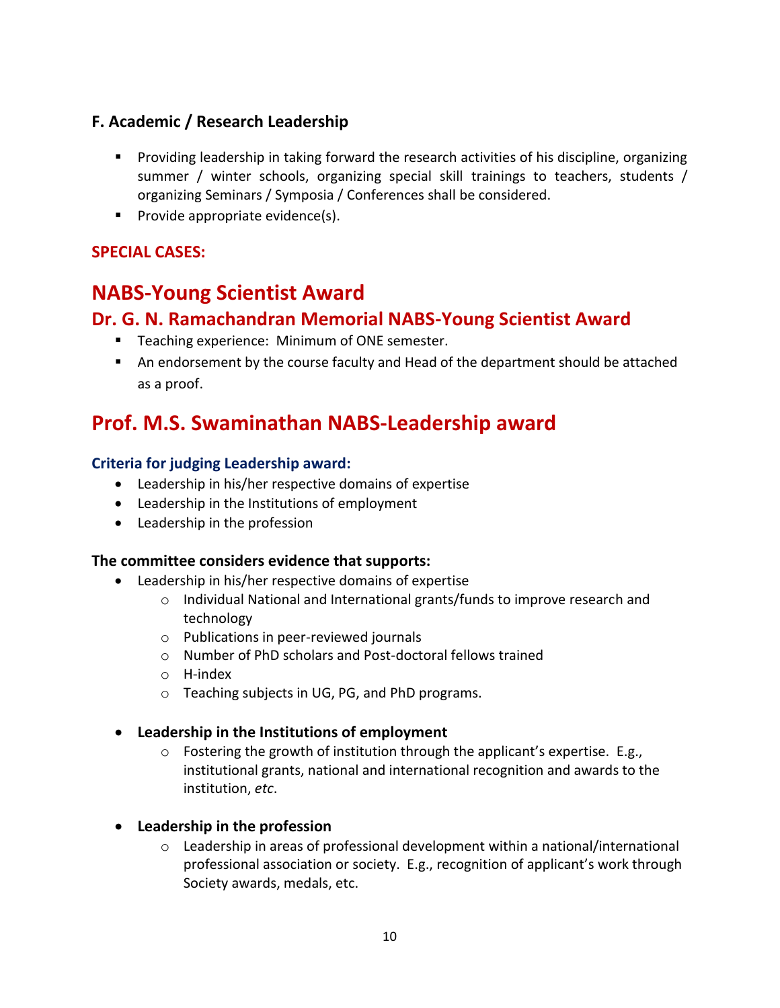## **F. Academic / Research Leadership**

- Providing leadership in taking forward the research activities of his discipline, organizing summer / winter schools, organizing special skill trainings to teachers, students / organizing Seminars / Symposia / Conferences shall be considered.
- $\blacksquare$  Provide appropriate evidence(s).

### **SPECIAL CASES:**

## **NABS-Young Scientist Award**

## **Dr. G. N. Ramachandran Memorial NABS-Young Scientist Award**

- **Teaching experience: Minimum of ONE semester.**
- An endorsement by the course faculty and Head of the department should be attached as a proof.

# **Prof. M.S. Swaminathan NABS-Leadership award**

#### **Criteria for judging Leadership award:**

- Leadership in his/her respective domains of expertise
- Leadership in the Institutions of employment
- Leadership in the profession

#### **The committee considers evidence that supports:**

- Leadership in his/her respective domains of expertise
	- $\circ$  Individual National and International grants/funds to improve research and technology
	- o Publications in peer-reviewed journals
	- o Number of PhD scholars and Post-doctoral fellows trained
	- o H-index
	- o Teaching subjects in UG, PG, and PhD programs.
- **Leadership in the Institutions of employment**
	- $\circ$  Fostering the growth of institution through the applicant's expertise. E.g., institutional grants, national and international recognition and awards to the institution, *etc*.
- **Leadership in the profession**
	- $\circ$  Leadership in areas of professional development within a national/international professional association or society. E.g., recognition of applicant's work through Society awards, medals, etc.